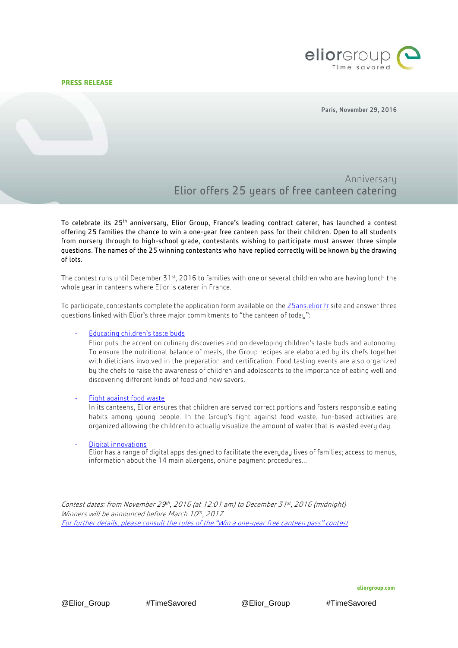## **PRESS RELEASE**



Paris, November 29, 2016

# Anniversary Elior offers 25 years of free canteen catering

To celebrate its 25<sup>th</sup> anniversary, Elior Group, France's leading contract caterer, has launched a contest offering 25 families the chance to win a one-year free canteen pass for their children. Open to all students from nursery through to high-school grade, contestants wishing to participate must answer three simple questions. The names of the 25 winning contestants who have replied correctly will be known by the drawing of lots.

The contest runs until December 31<sup>st</sup>, 2016 to families with one or several children who are having lunch the whole year in canteens where Elior is caterer in France.

To participate, contestants complete the application form available on th[e 25ans.elior.fr](http://25ans.elior.fr/) site and answer three questions linked with Elior's three major commitments to "the canteen of today":

### - [Educating children's taste buds](http://www.eliorgroup.com/press/press-releases/school-canteen-has-adapt-all-ages-and-cultures)

Elior puts the accent on culinary discoveries and on developing children's taste buds and autonomy. To ensure the nutritional balance of meals, the Group recipes are elaborated by its chefs together with dieticians involved in the preparation and certification. Food tasting events are also organized by the chefs to raise the awareness of children and adolescents to the importance of eating well and discovering different kinds of food and new savors.

#### Fight [against food waste](http://www.eliorgroup.com/press/press-releases/elior-group-commits-biodiversity)

In its canteens, Elior ensures that children are served correct portions and fosters responsible eating habits among young people. In the Group's fight against food waste, fun-based activities are organized allowing the children to actually visualize the amount of water that is wasted every day.

#### [Digital innovations](http://www.eliorgroup.com/press/press-releases/bonapp-more-100000-users-1st-school-canteen-app)

Elior has a range of digital apps designed to facilitate the everyday lives of families; access to menus, information about the 14 main allergens, online payment procedures…

Contest dates: from November 29<sup>th</sup>, 2016 (at 12:01 am) to December 31<sup>st</sup>, 2016 (midnight) Winners will be announced before March 10th, 2017 [For further details, please consult the rules of the "Win](http://25ans.elior.fr/mentions-legales) a one-year free canteen pass" contest

@Elior\_Group #TimeSavored @Elior\_Group #TimeSavored